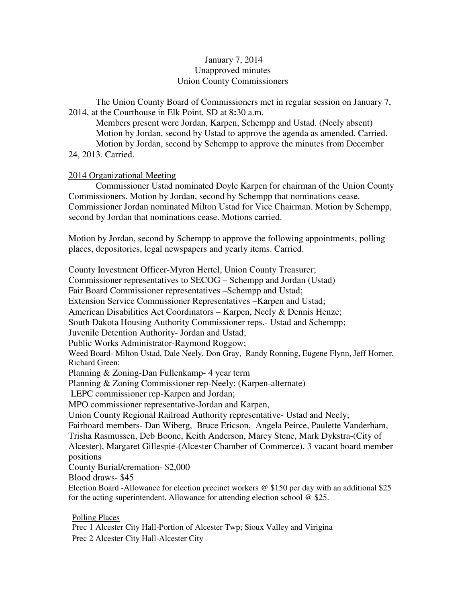# January 7, 2014 Unapproved minutes Union County Commissioners

The Union County Board of Commissioners met in regular session on January 7, 2014, at the Courthouse in Elk Point, SD at 8**:**30 a.m.

 Members present were Jordan, Karpen, Schempp and Ustad. (Neely absent) Motion by Jordan, second by Ustad to approve the agenda as amended. Carried. Motion by Jordan, second by Schempp to approve the minutes from December 24, 2013. Carried.

# 2014 Organizational Meeting

 Commissioner Ustad nominated Doyle Karpen for chairman of the Union County Commissioners. Motion by Jordan, second by Schempp that nominations cease. Commissioner Jordan nominated Milton Ustad for Vice Chairman. Motion by Schempp, second by Jordan that nominations cease. Motions carried.

Motion by Jordan, second by Schempp to approve the following appointments, polling places, depositories, legal newspapers and yearly items. Carried.

County Investment Officer-Myron Hertel, Union County Treasurer;

Commissioner representatives to SECOG – Schempp and Jordan (Ustad)

Fair Board Commissioner representatives –Schempp and Ustad;

Extension Service Commissioner Representatives –Karpen and Ustad;

American Disabilities Act Coordinators – Karpen, Neely & Dennis Henze;

South Dakota Housing Authority Commissioner reps.- Ustad and Schempp;

Juvenile Detention Authority- Jordan and Ustad;

Public Works Administrator-Raymond Roggow;

Weed Board- Milton Ustad, Dale Neely, Don Gray, Randy Ronning, Eugene Flynn, Jeff Horner, Richard Green;

Planning & Zoning*-*Dan Fullenkamp- 4 year term

Planning & Zoning Commissioner rep-Neely; (Karpen-alternate)

LEPC commissioner rep-Karpen and Jordan;

MPO commissioner representative-Jordan and Karpen,

Union County Regional Railroad Authority representative- Ustad and Neely;

Fairboard members- Dan Wiberg, Bruce Ericson, Angela Peirce, Paulette Vanderham, Trisha Rasmussen, Deb Boone, Keith Anderson, Marcy Stene, Mark Dykstra-(City of

Alcester), Margaret Gillespie-(Alcester Chamber of Commerce), 3 vacant board member positions

County Burial/cremation- \$2,000

Blood draws- \$45

Election Board -Allowance for election precinct workers @ \$150 per day with an additional \$25 for the acting superintendent. Allowance for attending election school @ \$25.

# Polling Places

Prec 1 Alcester City Hall-Portion of Alcester Twp; Sioux Valley and Virigina Prec 2 Alcester City Hall-Alcester City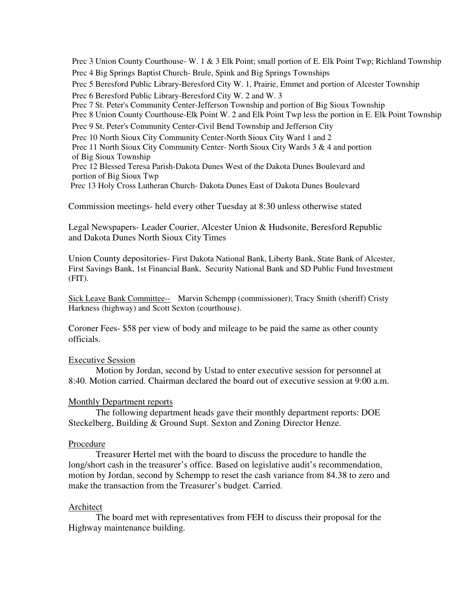Prec 3 Union County Courthouse- W. 1 & 3 Elk Point; small portion of E. Elk Point Twp; Richland Township Prec 4 Big Springs Baptist Church- Brule, Spink and Big Springs Townships Prec 5 Beresford Public Library-Beresford City W. 1, Prairie, Emmet and portion of Alcester Township Prec 6 Beresford Public Library-Beresford City W. 2 and W. 3 Prec 7 St. Peter's Community Center-Jefferson Township and portion of Big Sioux Township Prec 8 Union County Courthouse-Elk Point W. 2 and Elk Point Twp less the portion in E. Elk Point Township Prec 9 St. Peter's Community Center-Civil Bend Township and Jefferson City Prec 10 North Sioux City Community Center-North Sioux City Ward 1 and 2 Prec 11 North Sioux City Community Center- North Sioux City Wards 3 & 4 and portion of Big Sioux Township Prec 12 Blessed Teresa Parish-Dakota Dunes West of the Dakota Dunes Boulevard and portion of Big Sioux Twp Prec 13 Holy Cross Lutheran Church- Dakota Dunes East of Dakota Dunes Boulevard

Commission meetings- held every other Tuesday at 8:30 unless otherwise stated

Legal Newspapers- Leader Courier, Alcester Union & Hudsonite, Beresford Republic and Dakota Dunes North Sioux City Times

Union County depositories- First Dakota National Bank, Liberty Bank, State Bank of Alcester, First Savings Bank, 1st Financial Bank, Security National Bank and SD Public Fund Investment (FIT).

Sick Leave Bank Committee-- Marvin Schempp (commissioner); Tracy Smith (sheriff) Cristy Harkness (highway) and Scott Sexton (courthouse).

Coroner Fees- \$58 per view of body and mileage to be paid the same as other county officials.

# Executive Session

 Motion by Jordan, second by Ustad to enter executive session for personnel at 8:40. Motion carried. Chairman declared the board out of executive session at 9:00 a.m.

# Monthly Department reports

 The following department heads gave their monthly department reports: DOE Steckelberg, Building & Ground Supt. Sexton and Zoning Director Henze.

# Procedure

 Treasurer Hertel met with the board to discuss the procedure to handle the long/short cash in the treasurer's office. Based on legislative audit's recommendation, motion by Jordan, second by Schempp to reset the cash variance from 84.38 to zero and make the transaction from the Treasurer's budget. Carried.

# Architect

 The board met with representatives from FEH to discuss their proposal for the Highway maintenance building.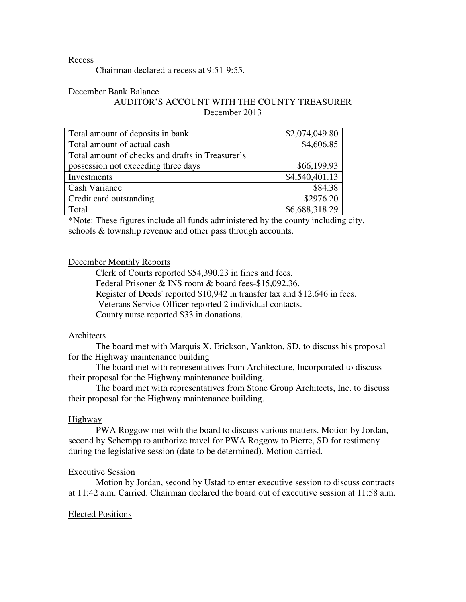# Recess

Chairman declared a recess at 9:51-9:55.

# December Bank Balance

# AUDITOR'S ACCOUNT WITH THE COUNTY TREASURER December 2013

| Total amount of deposits in bank                 | \$2,074,049.80 |
|--------------------------------------------------|----------------|
| Total amount of actual cash                      | \$4,606.85     |
| Total amount of checks and drafts in Treasurer's |                |
| possession not exceeding three days              | \$66,199.93    |
| Investments                                      | \$4,540,401.13 |
| <b>Cash Variance</b>                             | \$84.38        |
| Credit card outstanding                          | \$2976.20      |
| Total                                            | \$6,688,318.29 |

\*Note: These figures include all funds administered by the county including city, schools & township revenue and other pass through accounts.

#### December Monthly Reports

 Clerk of Courts reported \$54,390.23 in fines and fees. Federal Prisoner & INS room & board fees-\$15,092.36. Register of Deeds' reported \$10,942 in transfer tax and \$12,646 in fees. Veterans Service Officer reported 2 individual contacts. County nurse reported \$33 in donations.

#### Architects

The board met with Marquis X, Erickson, Yankton, SD, to discuss his proposal for the Highway maintenance building

 The board met with representatives from Architecture, Incorporated to discuss their proposal for the Highway maintenance building.

 The board met with representatives from Stone Group Architects, Inc. to discuss their proposal for the Highway maintenance building.

### Highway

 PWA Roggow met with the board to discuss various matters. Motion by Jordan, second by Schempp to authorize travel for PWA Roggow to Pierre, SD for testimony during the legislative session (date to be determined). Motion carried.

# Executive Session

 Motion by Jordan, second by Ustad to enter executive session to discuss contracts at 11:42 a.m. Carried. Chairman declared the board out of executive session at 11:58 a.m.

## Elected Positions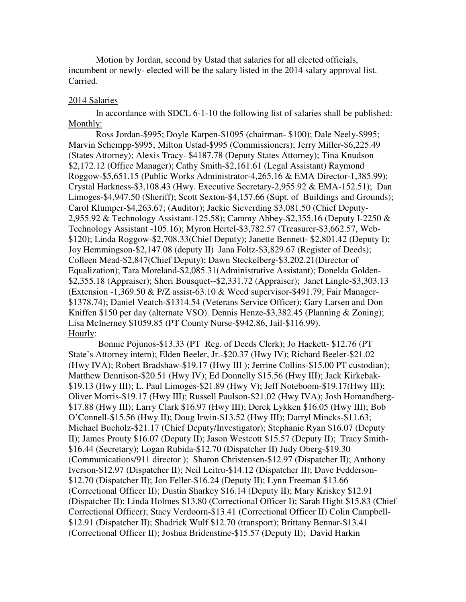Motion by Jordan, second by Ustad that salaries for all elected officials, incumbent or newly- elected will be the salary listed in the 2014 salary approval list. Carried.

### 2014 Salaries

 In accordance with SDCL 6-1-10 the following list of salaries shall be published: Monthly:

 Ross Jordan-\$995; Doyle Karpen-\$1095 (chairman- \$100); Dale Neely-\$995; Marvin Schempp-\$995; Milton Ustad-\$995 (Commissioners); Jerry Miller-\$6,225.49 (States Attorney); Alexis Tracy- \$4187.78 (Deputy States Attorney); Tina Knudson \$2,172.12 (Office Manager); Cathy Smith-\$2,161.61 (Legal Assistant) Raymond Roggow-\$5,651.15 (Public Works Administrator-4,265.16 & EMA Director-1,385.99); Crystal Harkness-\$3,108.43 (Hwy. Executive Secretary-2,955.92 & EMA-152.51); Dan Limoges-\$4,947.50 (Sheriff); Scott Sexton-\$4,157.66 (Supt. of Buildings and Grounds); Carol Klumper-\$4,263.67; (Auditor); Jackie Sieverding \$3,081.50 (Chief Deputy-2,955.92 & Technology Assistant-125.58); Cammy Abbey-\$2,355.16 (Deputy I-2250 & Technology Assistant -105.16); Myron Hertel-\$3,782.57 (Treasurer-\$3,662.57, Web- \$120); Linda Roggow-\$2,708.33(Chief Deputy); Janette Bennett- \$2,801.42 (Deputy I); Joy Hemmingson-\$2,147.08 (deputy II) Jana Foltz-\$3,829.67 (Register of Deeds); Colleen Mead-\$2,847(Chief Deputy); Dawn Steckelberg-\$3,202.21(Director of Equalization); Tara Moreland-\$2,085.31(Administrative Assistant); Donelda Golden- \$2,355.18 (Appraiser); Sheri Bousquet--\$2,331.72 (Appraiser); Janet Lingle-\$3,303.13 (Extension -1,369.50 & P/Z assist-63.10 & Weed supervisor-\$491.79; Fair Manager-\$1378.74); Daniel Veatch-\$1314.54 (Veterans Service Officer); Gary Larsen and Don Kniffen \$150 per day (alternate VSO). Dennis Henze-\$3,382.45 (Planning & Zoning); Lisa McInerney \$1059.85 (PT County Nurse-\$942.86, Jail-\$116.99). Hourly:

 Bonnie Pojunos-\$13.33 (PT Reg. of Deeds Clerk); Jo Hackett- \$12.76 (PT State's Attorney intern); Elden Beeler, Jr.-\$20.37 (Hwy IV); Richard Beeler-\$21.02 (Hwy IVA); Robert Bradshaw-\$19.17 (Hwy III ); Jerrine Collins-\$15.00 PT custodian); Matthew Dennison-\$20.51 (Hwy IV); Ed Donnelly \$15.56 **(**Hwy III); Jack Kirkebak- \$19.13 (Hwy III); L. Paul Limoges-\$21.89 (Hwy V); Jeff Noteboom-\$19.17(Hwy III); Oliver Morris-\$19.17 (Hwy III); Russell Paulson-\$21.02 (Hwy IVA); Josh Homandberg- \$17.88 (Hwy III); Larry Clark \$16.97 (Hwy III); Derek Lykken \$16.05 (Hwy III); Bob O'Connell-\$15.56 (Hwy II); Doug Irwin-\$13.52 (Hwy III); Darryl Mincks-\$11.63; Michael Bucholz-\$21.17 (Chief Deputy/Investigator); Stephanie Ryan \$16.07 (Deputy II); James Prouty \$16.07 (Deputy II); Jason Westcott \$15.57 (Deputy II); Tracy Smith- \$16.44 (Secretary); Logan Rubida-\$12.70 (Dispatcher II) Judy Oberg-\$19.30 (Communications/911 director ); Sharon Christensen-\$12.97 (Dispatcher II); Anthony Iverson-\$12.97 (Dispatcher II); Neil Leitru-\$14.12 (Dispatcher II); Dave Fedderson- \$12.70 (Dispatcher II); Jon Feller-\$16.24 (Deputy II); Lynn Freeman \$13.66 (Correctional Officer II); Dustin Sharkey \$16.14 (Deputy II); Mary Kriskey \$12.91 (Dispatcher II); Linda Holmes \$13.80 (Correctional Officer I); Sarah Hight \$15.83 (Chief Correctional Officer); Stacy Verdoorn-\$13.41 (Correctional Officer II) Colin Campbell- \$12.91 (Dispatcher II); Shadrick Wulf \$12.70 (transport); Brittany Bennar-\$13.41 (Correctional Officer II); Joshua Bridenstine-\$15.57 (Deputy II); David Harkin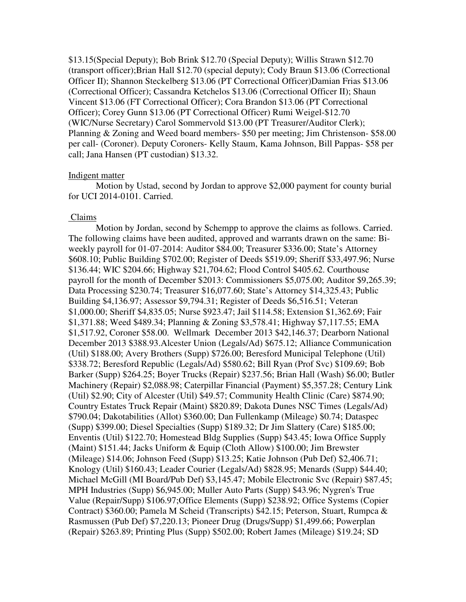\$13.15(Special Deputy); Bob Brink \$12.70 (Special Deputy); Willis Strawn \$12.70 (transport officer);Brian Hall \$12.70 (special deputy); Cody Braun \$13.06 (Correctional Officer II); Shannon Steckelberg \$13.06 (PT Correctional Officer)Damian Frias \$13.06 (Correctional Officer); Cassandra Ketchelos \$13.06 (Correctional Officer II); Shaun Vincent \$13.06 (FT Correctional Officer); Cora Brandon \$13.06 (PT Correctional Officer); Corey Gunn \$13.06 (PT Correctional Officer) Rumi Weigel-\$12.70 (WIC/Nurse Secretary) Carol Sommervold \$13.00 (PT Treasurer/Auditor Clerk); Planning & Zoning and Weed board members- \$50 per meeting; Jim Christenson- \$58.00 per call- (Coroner). Deputy Coroners- Kelly Staum, Kama Johnson, Bill Pappas- \$58 per call; Jana Hansen (PT custodian) \$13.32.

## Indigent matter

 Motion by Ustad, second by Jordan to approve \$2,000 payment for county burial for UCI 2014-0101. Carried.

## Claims

 Motion by Jordan, second by Schempp to approve the claims as follows. Carried. The following claims have been audited, approved and warrants drawn on the same: Biweekly payroll for 01-07-2014: Auditor \$84.00; Treasurer \$336.00; State's Attorney \$608.10; Public Building \$702.00; Register of Deeds \$519.09; Sheriff \$33,497.96; Nurse \$136.44; WIC \$204.66; Highway \$21,704.62; Flood Control \$405.62. Courthouse payroll for the month of December \$2013: Commissioners \$5,075.00; Auditor \$9,265.39; Data Processing \$230.74; Treasurer \$16,077.60; State's Attorney \$14,325.43; Public Building \$4,136.97; Assessor \$9,794.31; Register of Deeds \$6,516.51; Veteran \$1,000.00; Sheriff \$4,835.05; Nurse \$923.47; Jail \$114.58; Extension \$1,362.69; Fair \$1,371.88; Weed \$489.34; Planning & Zoning \$3,578.41; Highway \$7,117.55; EMA \$1,517.92, Coroner \$58.00. Wellmark December 2013 \$42,146.37; Dearborn National December 2013 \$388.93.Alcester Union (Legals/Ad) \$675.12; Alliance Communication (Util) \$188.00; Avery Brothers (Supp) \$726.00; Beresford Municipal Telephone (Util) \$338.72; Beresford Republic (Legals/Ad) \$580.62; Bill Ryan (Prof Svc) \$109.69; Bob Barker (Supp) \$264.25; Boyer Trucks (Repair) \$237.56; Brian Hall (Wash) \$6.00; Butler Machinery (Repair) \$2,088.98; Caterpillar Financial (Payment) \$5,357.28; Century Link (Util) \$2.90; City of Alcester (Util) \$49.57; Community Health Clinic (Care) \$874.90; Country Estates Truck Repair (Maint) \$820.89; Dakota Dunes NSC Times (Legals/Ad) \$790.04; Dakotabilities (Allot) \$360.00; Dan Fullenkamp (Mileage) \$0.74; Dataspec (Supp) \$399.00; Diesel Specialties (Supp) \$189.32; Dr Jim Slattery (Care) \$185.00; Enventis (Util) \$122.70; Homestead Bldg Supplies (Supp) \$43.45; Iowa Office Supply (Maint) \$151.44; Jacks Uniform & Equip (Cloth Allow) \$100.00; Jim Brewster (Mileage) \$14.06; Johnson Feed (Supp) \$13.25; Katie Johnson (Pub Def) \$2,406.71; Knology (Util) \$160.43; Leader Courier (Legals/Ad) \$828.95; Menards (Supp) \$44.40; Michael McGill (MI Board/Pub Def) \$3,145.47; Mobile Electronic Svc (Repair) \$87.45; MPH Industries (Supp) \$6,945.00; Muller Auto Parts (Supp) \$43.96; Nygren's True Value (Repair/Supp) \$106.97;Office Elements (Supp) \$238.92; Office Systems (Copier Contract) \$360.00; Pamela M Scheid (Transcripts) \$42.15; Peterson, Stuart, Rumpca & Rasmussen (Pub Def) \$7,220.13; Pioneer Drug (Drugs/Supp) \$1,499.66; Powerplan (Repair) \$263.89; Printing Plus (Supp) \$502.00; Robert James (Mileage) \$19.24; SD